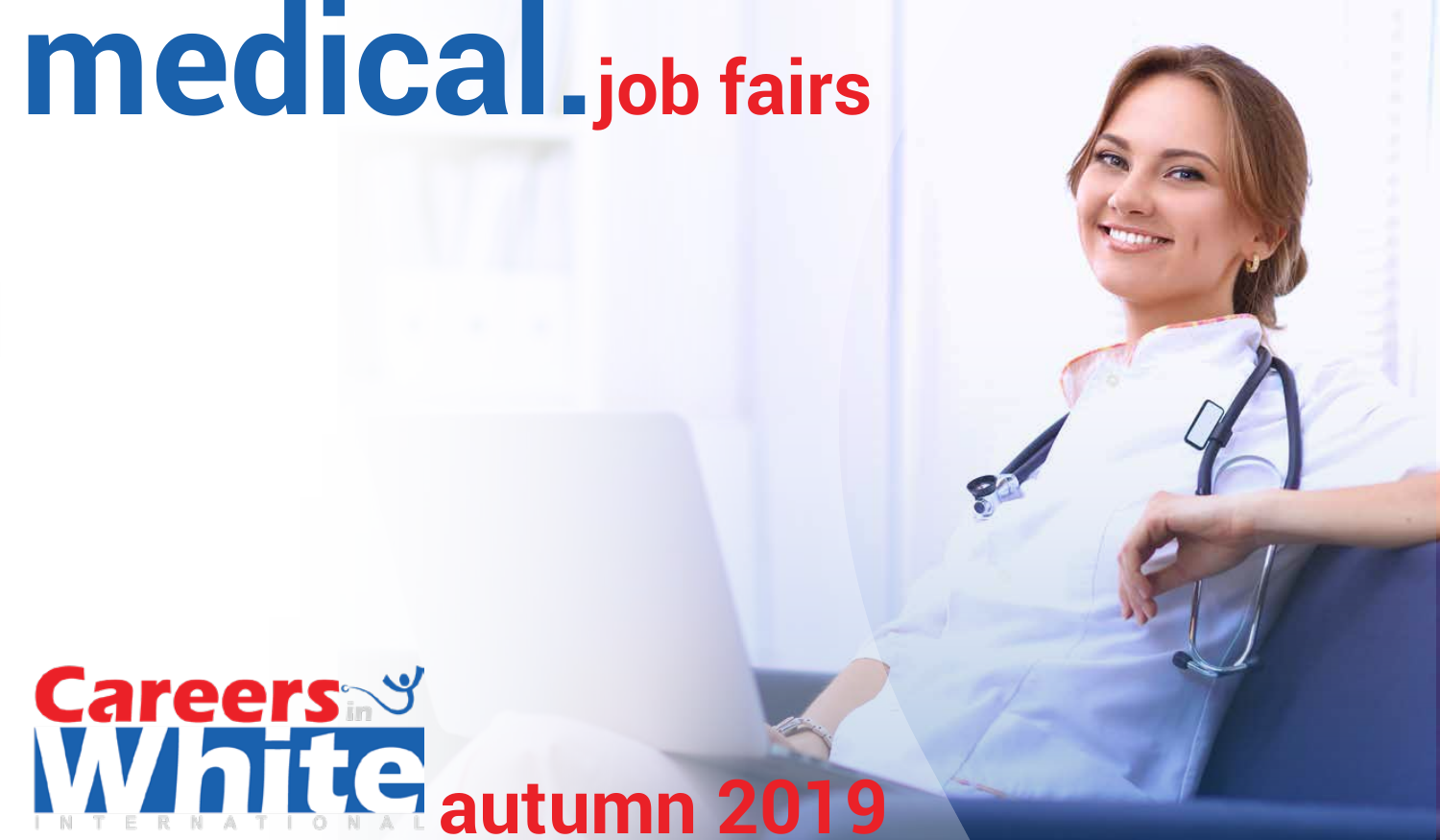# **medical.job fairs**

# **Careers<sup>3</sup>**<br>Minite autumn 2019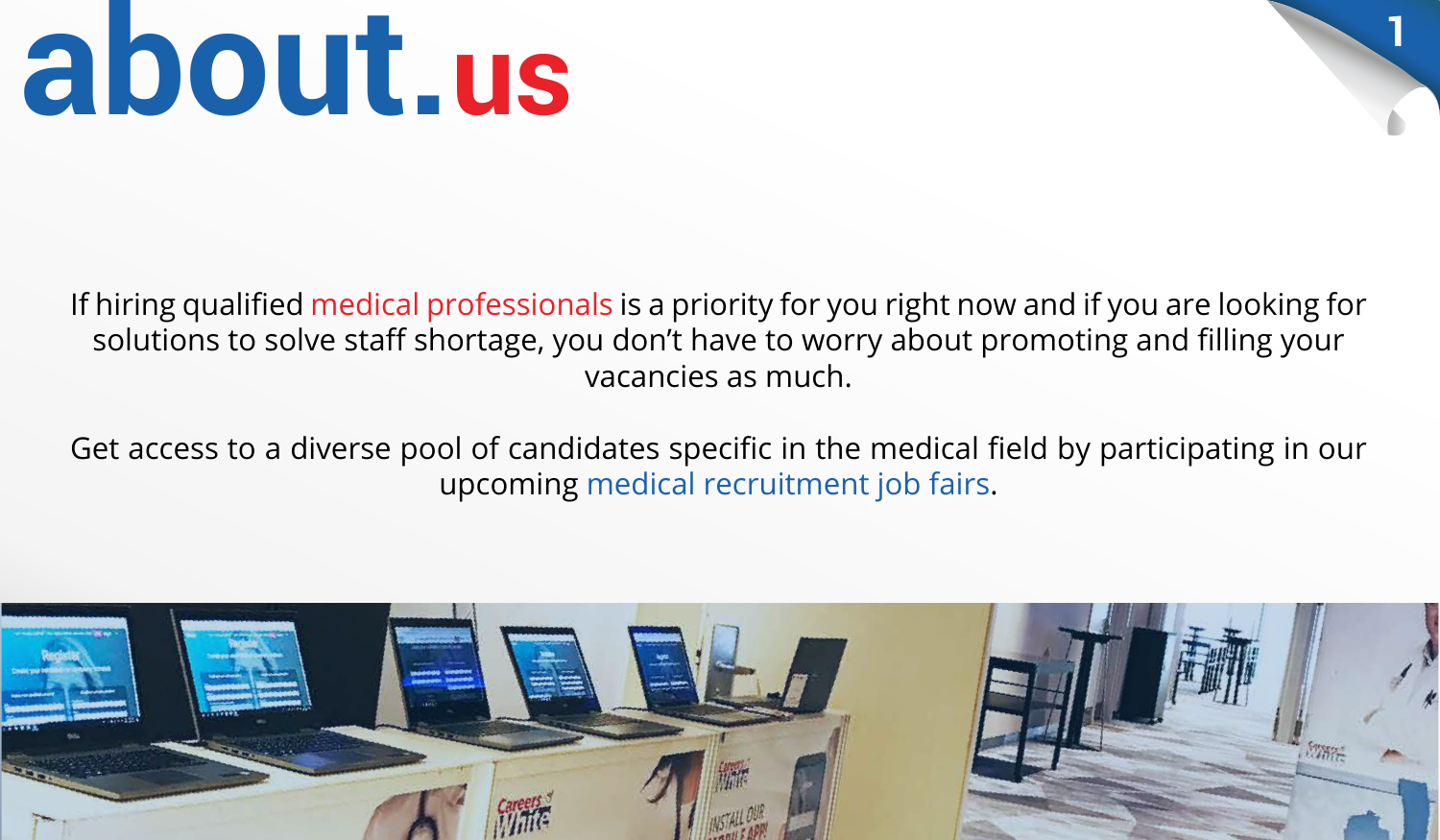# **about.us**

If hiring qualified medical professionals is a priority for you right now and if you are looking for solutions to solve staff shortage, you don't have to worry about promoting and filling your vacancies as much.

**1**

Get access to a diverse pool of candidates specific in the medical field by participating in our upcoming medical recruitment job fairs.

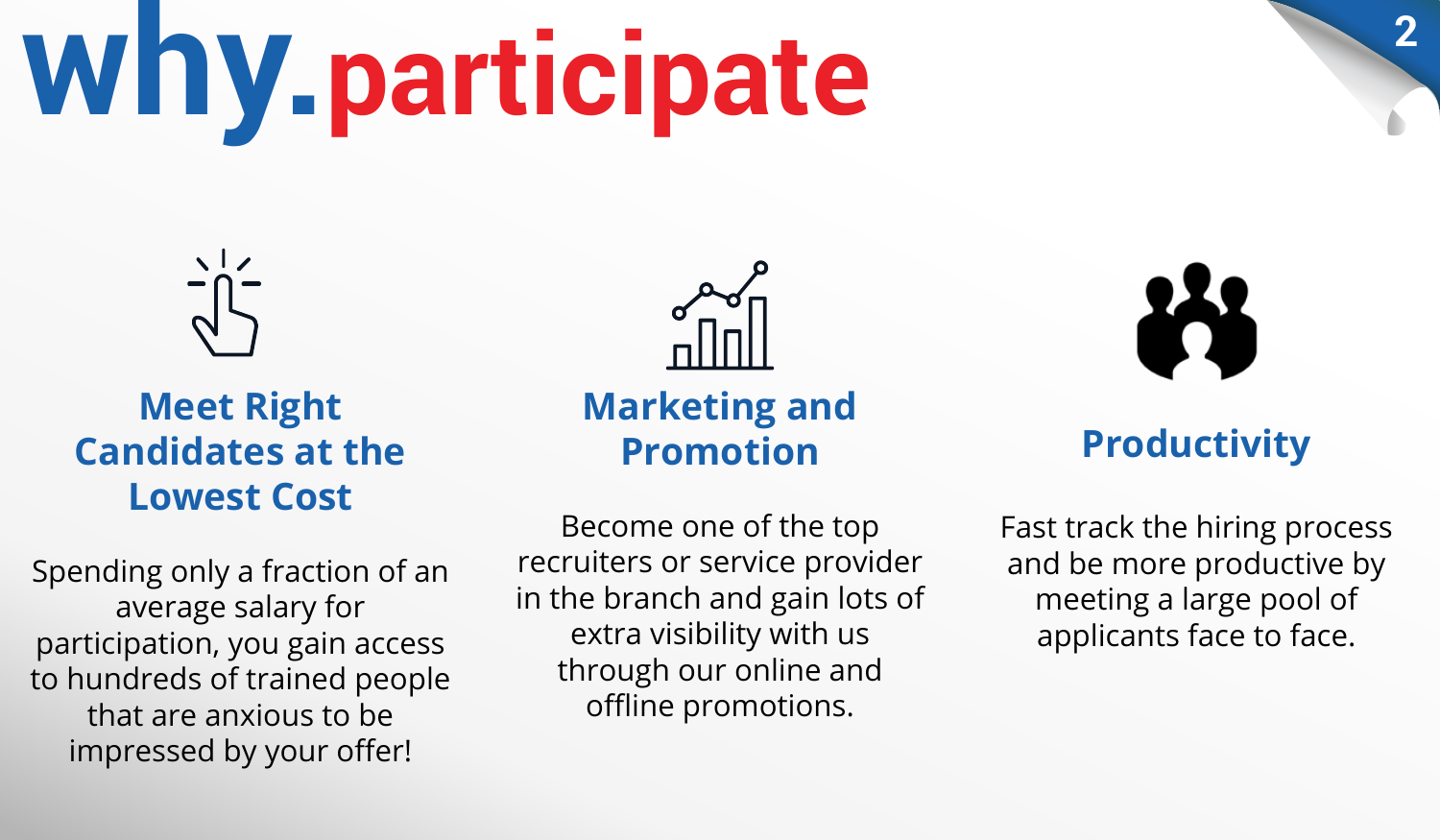# **why.participate**



## **Meet Right Candidates at the Lowest Cost**

Spending only a fraction of an average salary for participation, you gain access to hundreds of trained people that are anxious to be impressed by your offer!

Become one of the top recruiters or service provider in the branch and gain lots of extra visibility with us through our online and offline promotions.



**2**

## **Productivity**

Fast track the hiring process and be more productive by meeting a large pool of applicants face to face.

**Marketing and Promotion**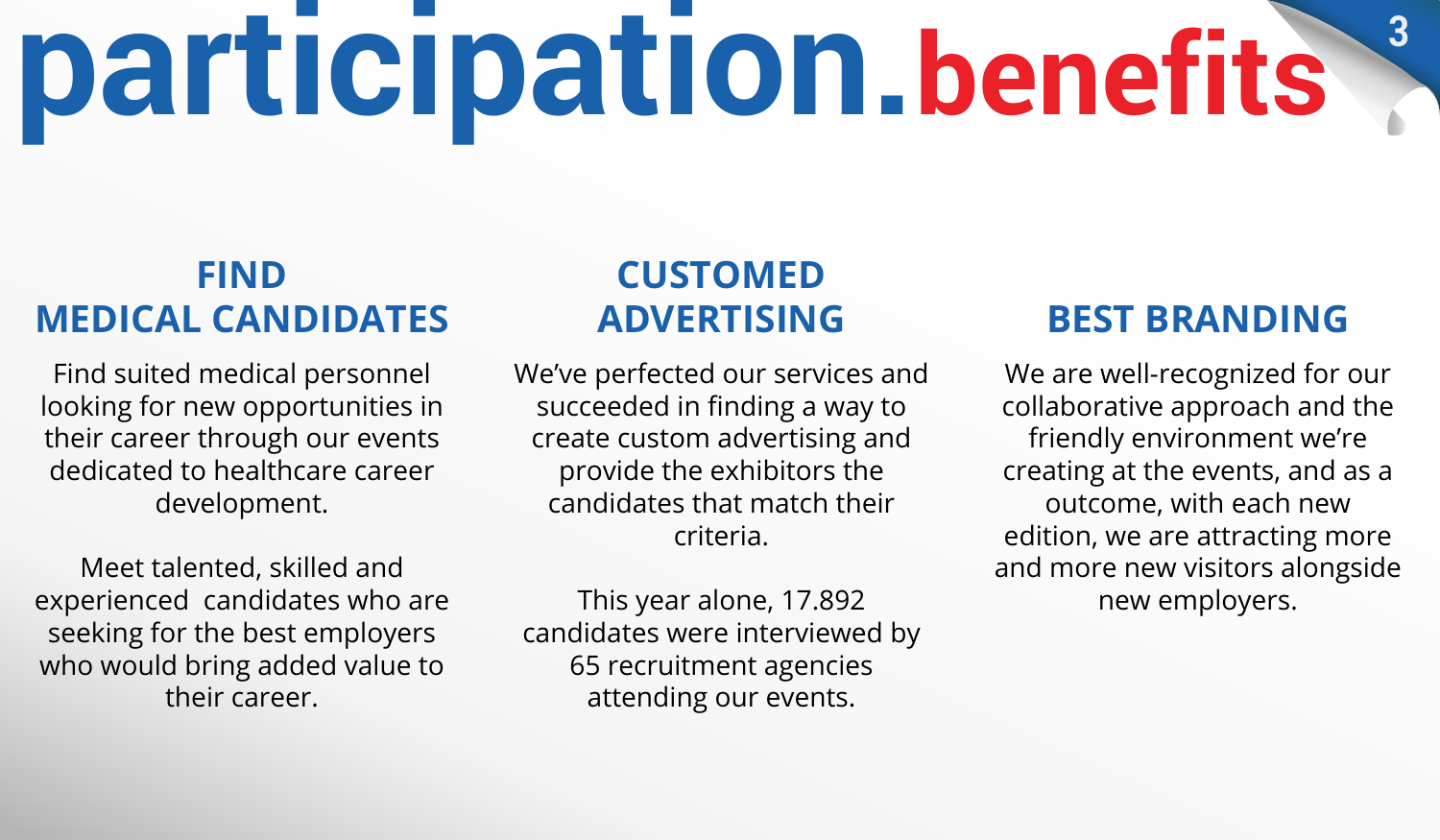# **participation.benefits**

## **FIND MEDICAL CANDIDATES**

Find suited medical personnel looking for new opportunities in their career through our events dedicated to healthcare career development.

Meet talented, skilled and experienced candidates who are seeking for the best employers who would bring added value to their career.

## **CUSTOMED ADVERTISING**

We've perfected our services and succeeded in finding a way to create custom advertising and provide the exhibitors the candidates that match their criteria.

This year alone, 17.892 candidates were interviewed by 65 recruitment agencies attending our events.

## **BEST BRANDING**

**3**

We are well-recognized for our collaborative approach and the friendly environment we're creating at the events, and as a outcome, with each new edition, we are attracting more and more new visitors alongside new employers.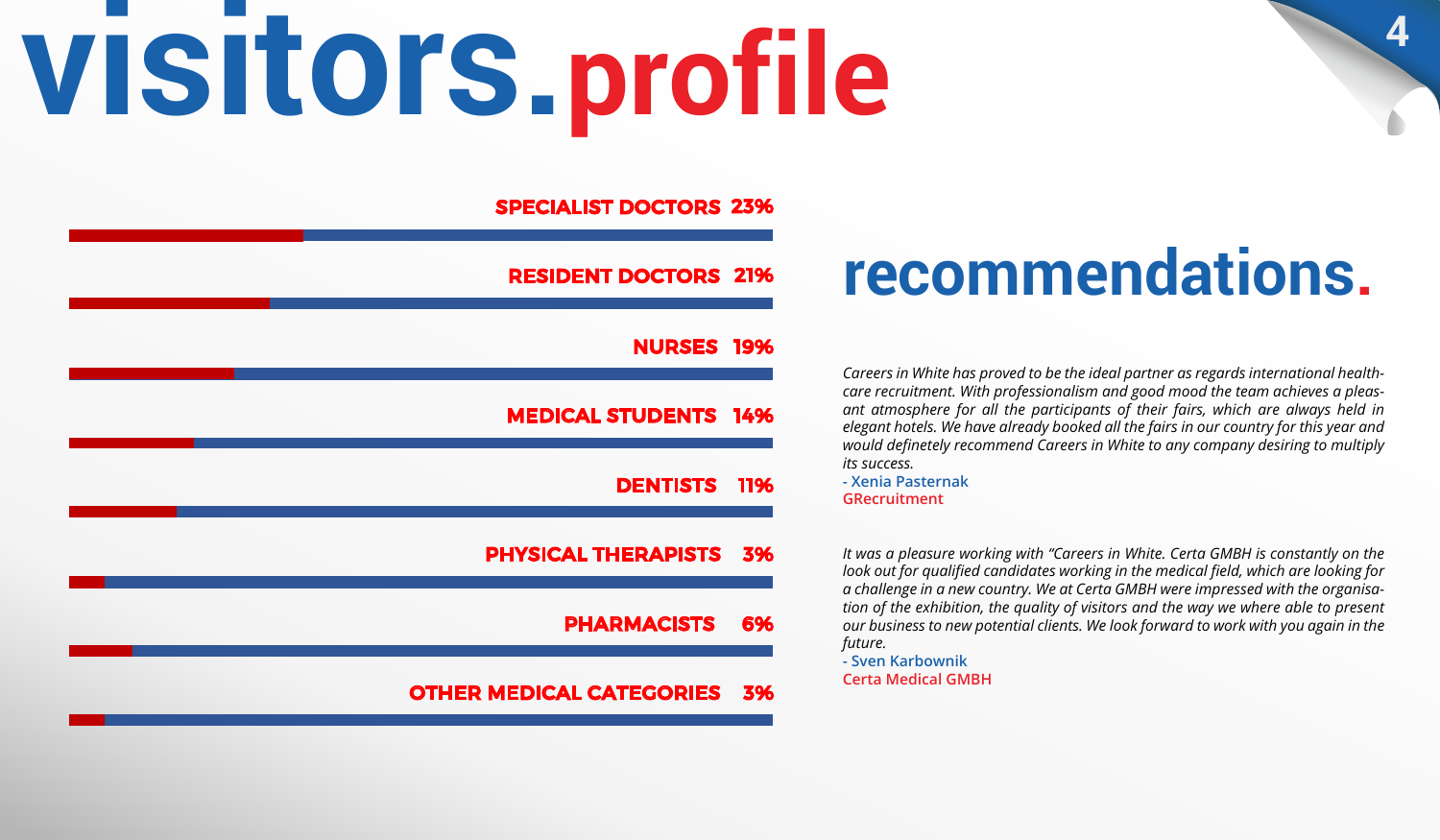# **visitors.profile**

### SPECIALIST DOCTORS 23%

### RESIDENT DOCTORS 21%

### NURSES 19%

### MEDICAL STUDENTS 14%

DENTISTS 11%

### PHYSICAL THERAPISTS

PHARMACISTS 6%

### OTHER MEDICAL CATEGORIES 3%

## **recommendations.**

**4**

*Careers in White has proved to be the ideal partner as regards international healthcare recruitment. With professionalism and good mood the team achieves a pleasant atmosphere for all the participants of their fairs, which are always held in elegant hotels. We have already booked all the fairs in our country for this year and would definetely recommend Careers in White to any company desiring to multiply its success.*

**- Xenia Pasternak GRecruitment**

*It was a pleasure working with "Careers in White. Certa GMBH is constantly on the look out for qualified candidates working in the medical field, which are looking for a challenge in a new country. We at Certa GMBH were impressed with the organisation of the exhibition, the quality of visitors and the way we where able to present our business to new potential clients. We look forward to work with you again in the future.* 

**- Sven Karbownik Certa Medical GMBH**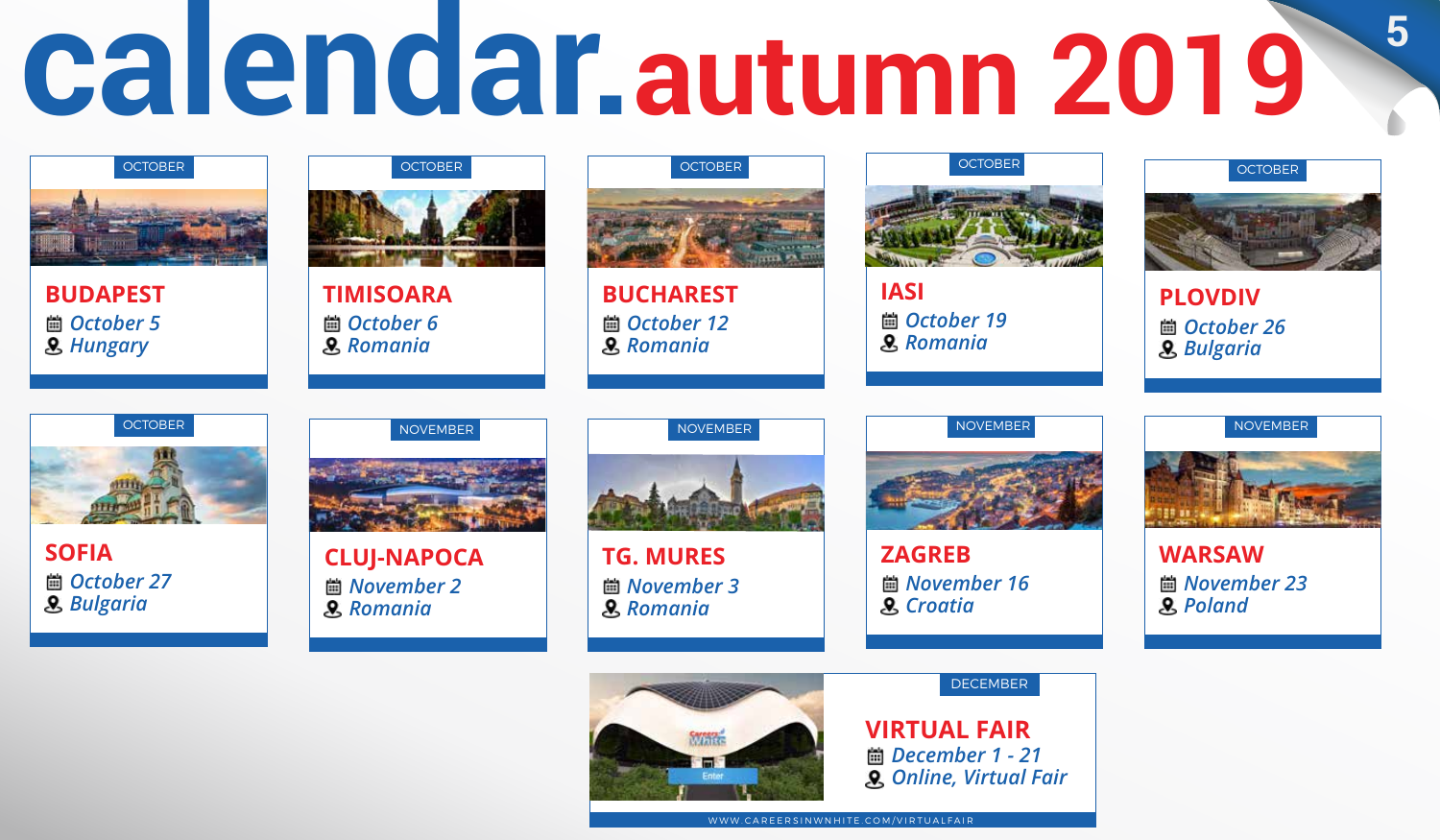## **calendar.autumn 2019 5**



**BUDAPEST** *October 5 Hungary*



**TIMISOARA** *October 6 Romania*



**BUCHAREST** *October 12 Romania*



**IASI** *October 19 Romania*



**PLOVDIV** *October 26 Bulgaria*



**SOFIA** *October 27 Bulgaria*



**CLUJ-NAPOCA** *November 2 Romania*



**TG. MURES** *November 3 Romania*



**ZAGREB** *November 16 Croatia*

NOVEMBER

**WARSAW** *November 23 Poland*



**VIRTUAL FAIR** *December 1 - 21 Online, Virtual Fair*

DECEMBER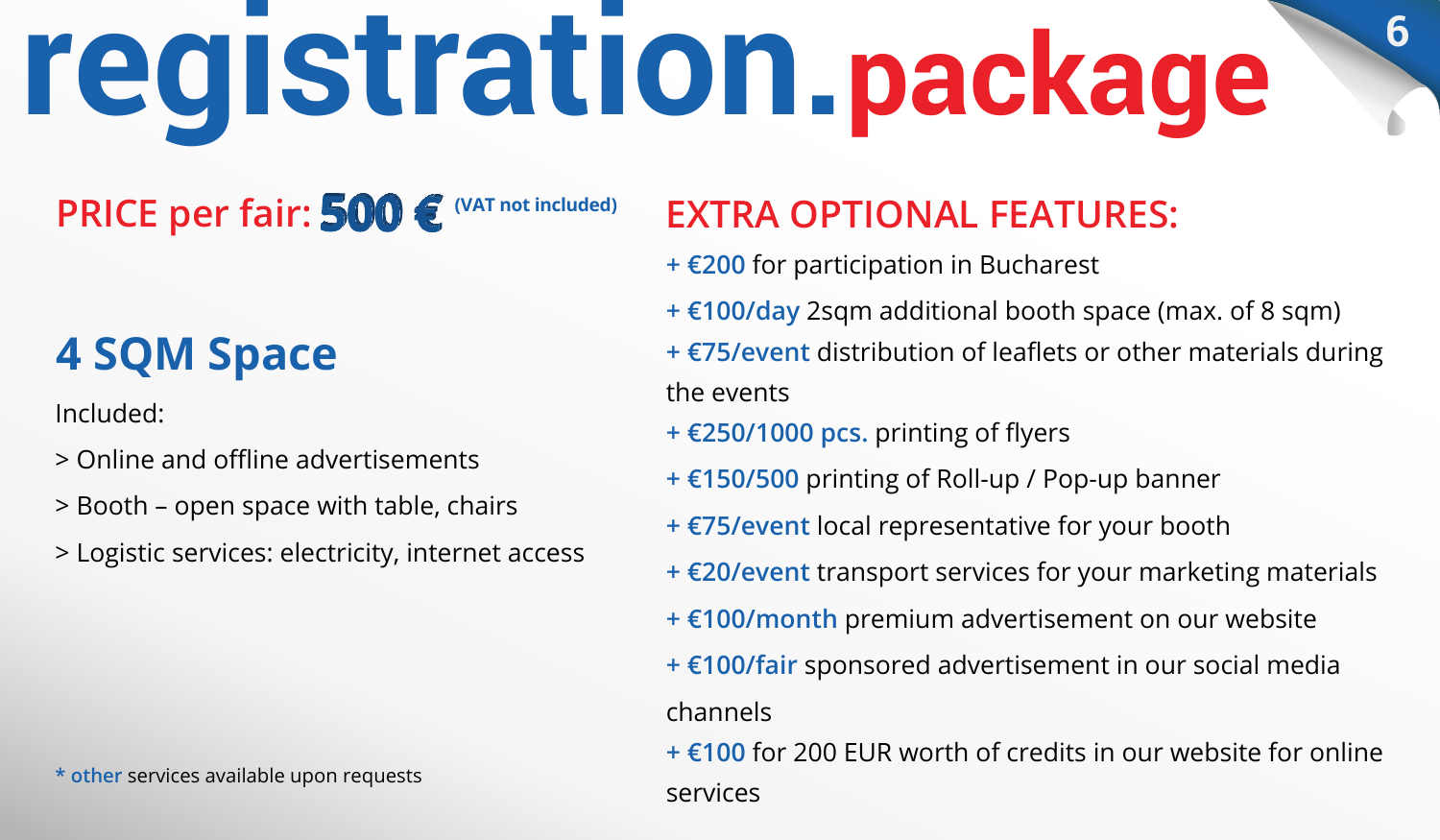# **registration.package**

### PRICE per fair: **500 € (VAT not included)**

## **4 SQM Space**

Included:

- > Online and offline advertisements
- > Booth open space with table, chairs
- > Logistic services: electricity, internet access

### **\* other** services available upon requests

## **EXTRA OPTIONAL FEATURES:**

- **+ €200** for participation in Bucharest
- **+ €100/day** 2sqm additional booth space (max. of 8 sqm)
- **+ €75/event** distribution of leaflets or other materials during the events

**6**

- **+ €250/1000 pcs.** printing of flyers
- **+ €150/500** printing of Roll-up / Pop-up banner
- **+ €75/event** local representative for your booth
- **+ €20/event** transport services for your marketing materials
- **+ €100/month** premium advertisement on our website
- **+ €100/fair** sponsored advertisement in our social media channels
- **+ €100** for 200 EUR worth of credits in our website for online
- services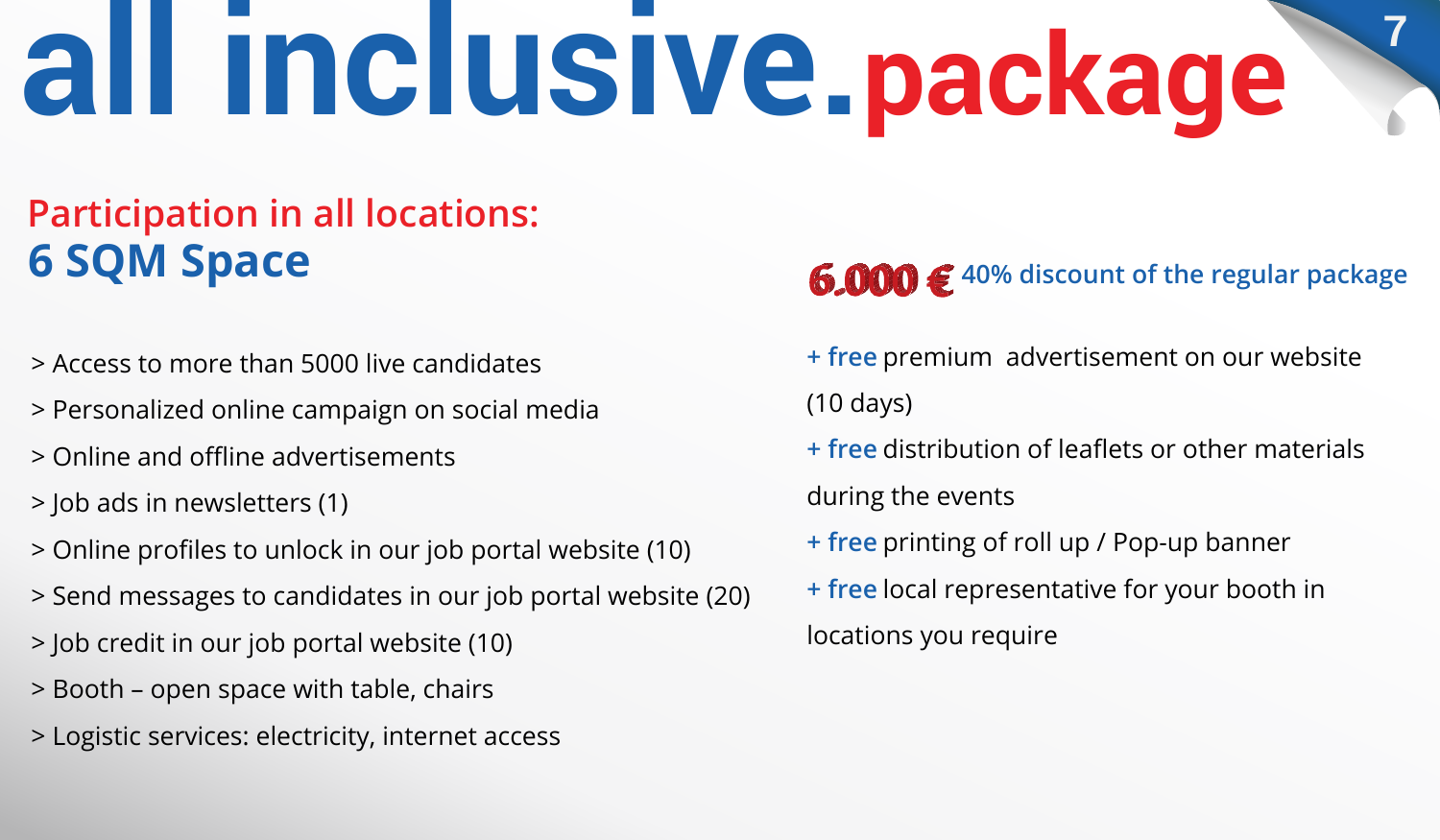## **all inclusive.package 7**

## **6 SQM Space Participation in all locations:**

- > Access to more than 5000 live candidates
- > Personalized online campaign on social media
- > Online and offline advertisements
- > Job ads in newsletters (1)
- > Online profiles to unlock in our job portal website (10)
- > Send messages to candidates in our job portal website (20)
- > Job credit in our job portal website (10)
- > Booth open space with table, chairs
- > Logistic services: electricity, internet access

## **6.000 €** 40% discount of the regular package

- **+ free** premium advertisement on our website (10 days)
- **+ free** distribution of leaflets or other materials during the events
- **+ free** printing of roll up / Pop-up banner
- **+ free** local representative for your booth in locations you require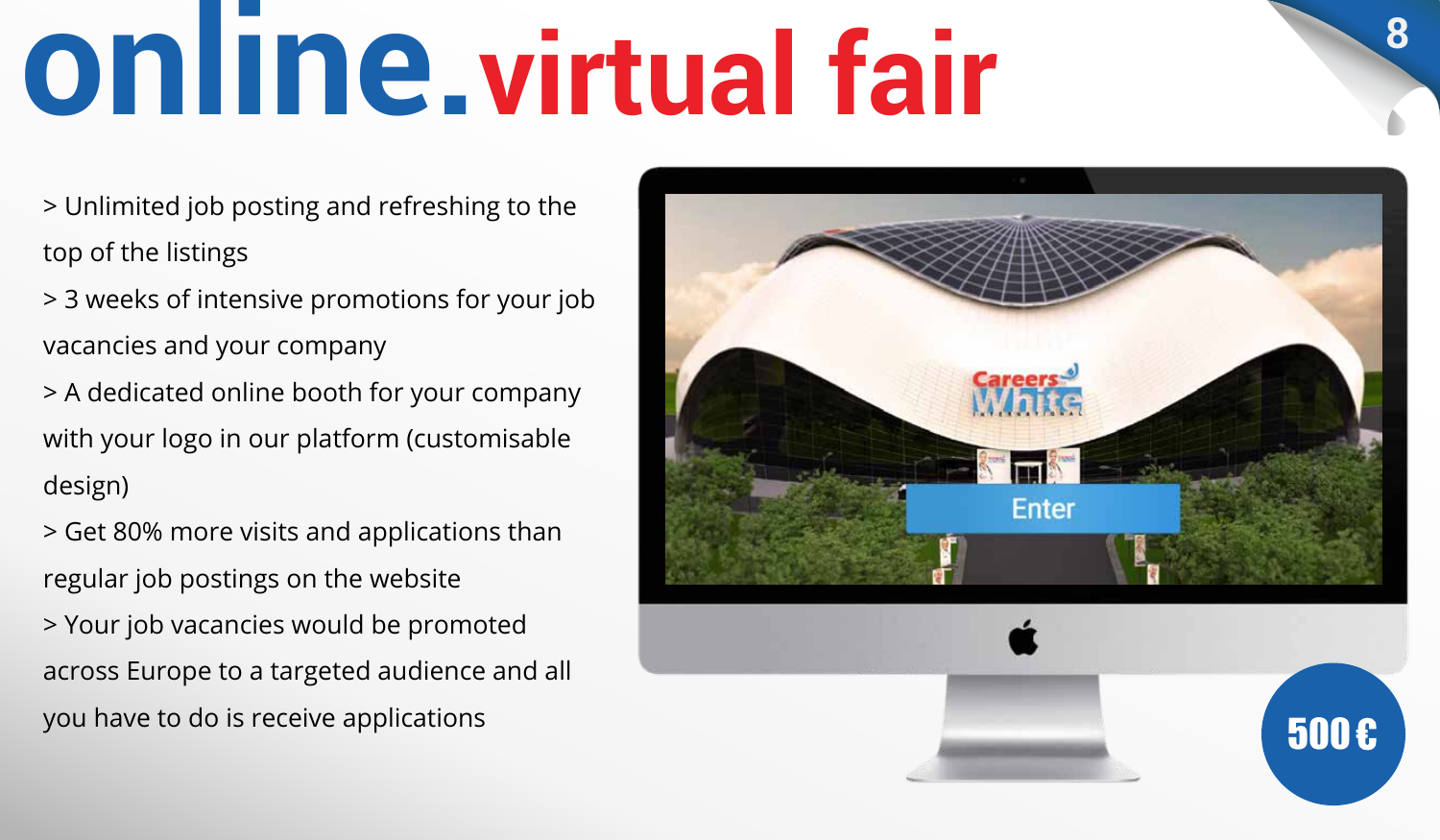# **online.virtual fair**

> Unlimited job posting and refreshing to the top of the listings

> 3 weeks of intensive promotions for your job vacancies and your company

> A dedicated online booth for your company with your logo in our platform (customisable design)

> Get 80% more visits and applications than regular job postings on the website > Your job vacancies would be promoted across Europe to a targeted audience and all



**8**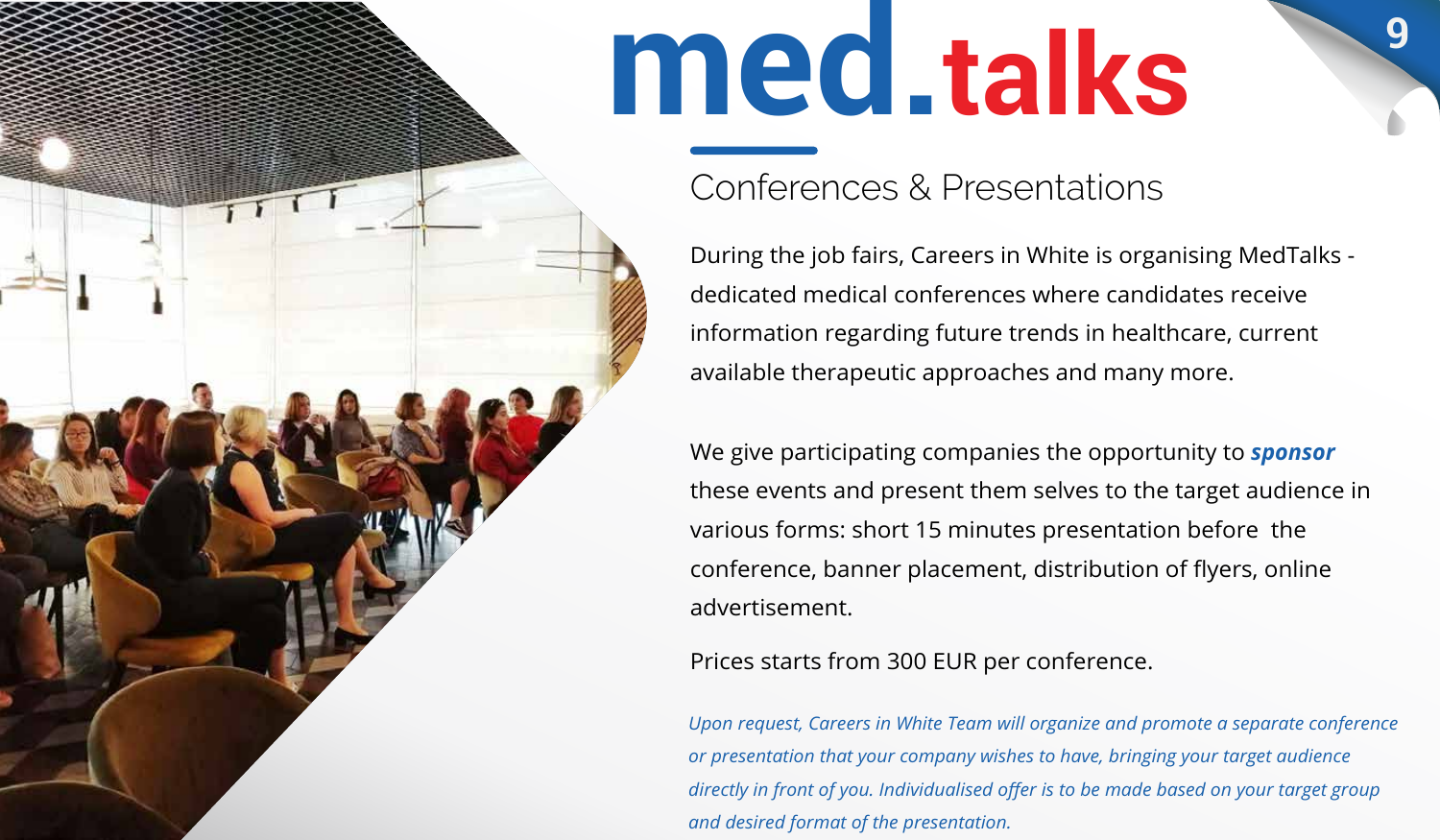## **med.talks**

### Conferences & Presentations

During the job fairs, Careers in White is organising MedTalks dedicated medical conferences where candidates receive information regarding future trends in healthcare, current available therapeutic approaches and many more.

**9**

We give participating companies the opportunity to *sponsor*  these events and present them selves to the target audience in various forms: short 15 minutes presentation before the conference, banner placement, distribution of flyers, online advertisement.

### Prices starts from 300 EUR per conference.

*Upon request, Careers in White Team will organize and promote a separate conference or presentation that your company wishes to have, bringing your target audience directly in front of you. Individualised offer is to be made based on your target group and desired format of the presentation.*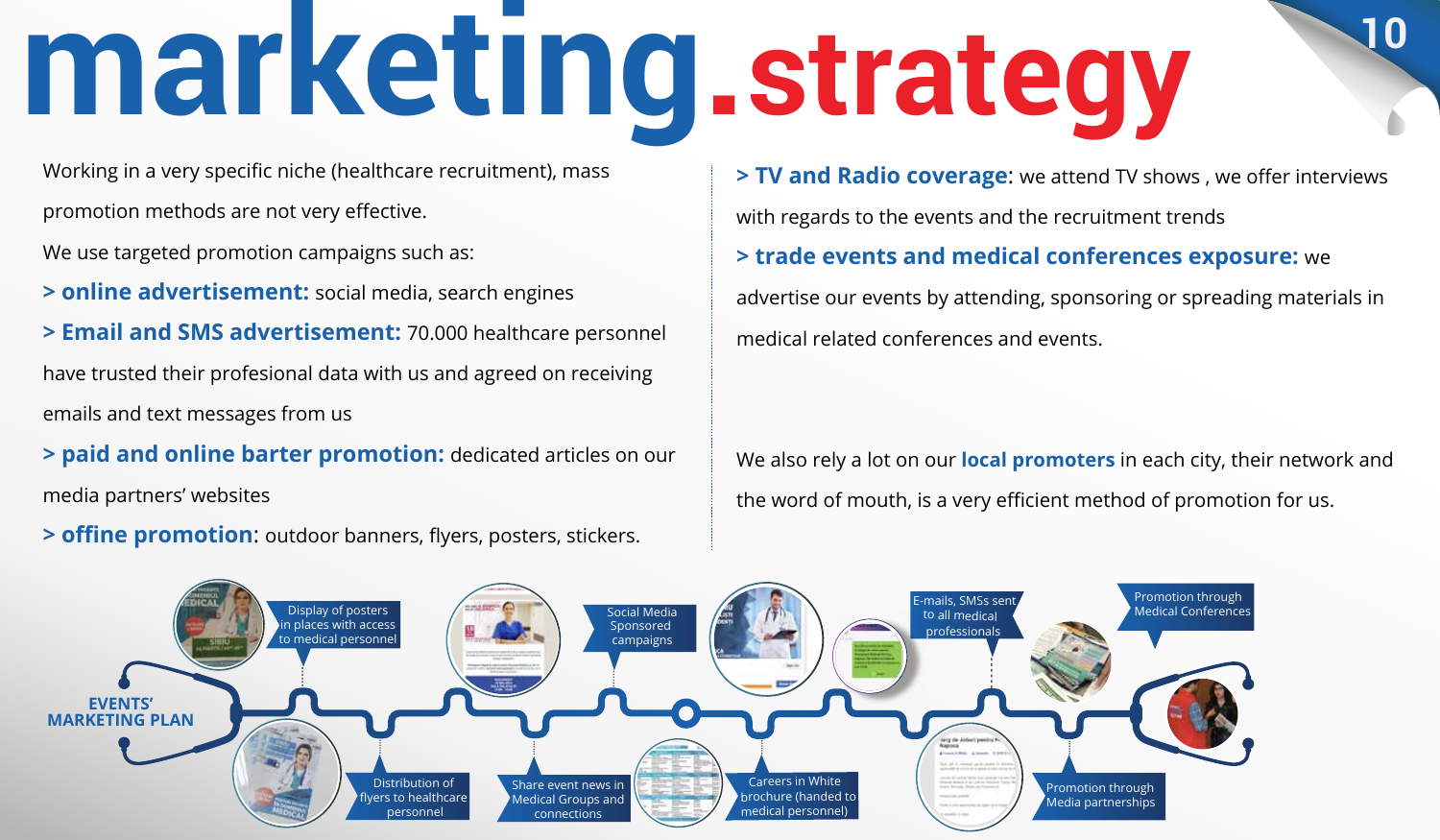# **marketing.strategy**

Working in a very specific niche (healthcare recruitment), mass promotion methods are not very effective.

We use targeted promotion campaigns such as:

**> online advertisement:** social media, search engines

**> Email and SMS advertisement:** 70.000 healthcare personnel have trusted their profesional data with us and agreed on receiving emails and text messages from us

**> paid and online barter promotion:** dedicated articles on our media partners' websites

**> offine promotion**: outdoor banners, flyers, posters, stickers.

**> TV and Radio coverage**: we attend TV shows , we offer interviews with regards to the events and the recruitment trends **> trade events and medical conferences exposure:** we advertise our events by attending, sponsoring or spreading materials in medical related conferences and events.

**10**

We also rely a lot on our **local promoters** in each city, their network and the word of mouth, is a very efficient method of promotion for us.